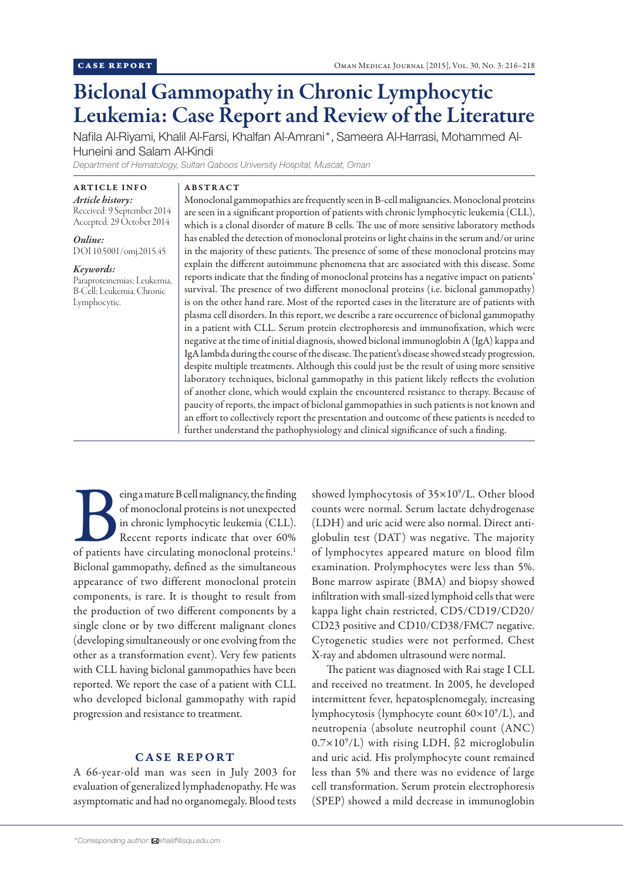# Biclonal Gammopathy in Chronic Lymphocytic Leukemia: Case Report and Review of the Literature

Nafila Al-Riyami, Khalil Al-Farsi, Khalfan Al-Amrani\*, Sameera Al-Harrasi, Mohammed Al-Huneini and Salam Al-Kindi

*Department of Hematology, Sultan Qaboos University Hospital, Muscat, Oman*

ARTICLE INFO *Article history:*  Received: 9 September 2014 Accepted: 29 October 2014

*Online:* DOI 10.5001/omj.2015.45

*Keywords:*  Paraproteinemias; Leukemia, B-Cell; Leukemia, Chronic Lymphocytic.

#### ABSTRACT

Monoclonal gammopathies are frequently seen in B-cell malignancies. Monoclonal proteins are seen in a significant proportion of patients with chronic lymphocytic leukemia (CLL), which is a clonal disorder of mature B cells. The use of more sensitive laboratory methods has enabled the detection of monoclonal proteins or light chains in the serum and/or urine in the majority of these patients. The presence of some of these monoclonal proteins may explain the different autoimmune phenomena that are associated with this disease. Some reports indicate that the finding of monoclonal proteins has a negative impact on patients' survival. The presence of two different monoclonal proteins (i.e. biclonal gammopathy) is on the other hand rare. Most of the reported cases in the literature are of patients with plasma cell disorders. In this report, we describe a rare occurrence of biclonal gammopathy in a patient with CLL. Serum protein electrophoresis and immunofixation, which were negative at the time of initial diagnosis, showed biclonal immunoglobin A (IgA) kappa and IgA lambda during the course of the disease. The patient's disease showed steady progression, despite multiple treatments. Although this could just be the result of using more sensitive laboratory techniques, biclonal gammopathy in this patient likely reflects the evolution of another clone, which would explain the encountered resistance to therapy. Because of paucity of reports, the impact of biclonal gammopathies in such patients is not known and an effort to collectively report the presentation and outcome of these patients is needed to further understand the pathophysiology and clinical significance of such a finding.

eing a mature B cell malignancy, the finding<br>
of monoclonal proteins is not unexpected<br>
in chronic lymphocytic leukemia (CLL).<br>
Recent reports indicate that over 60%<br>
of patients have circulating monoclonal proteins.<sup>1</sup> of monoclonal proteins is not unexpected in chronic lymphocytic leukemia (CLL). Recent reports indicate that over 60% Biclonal gammopathy, defined as the simultaneous appearance of two different monoclonal protein components, is rare. It is thought to result from the production of two different components by a single clone or by two different malignant clones (developing simultaneously or one evolving from the other as a transformation event). Very few patients with CLL having biclonal gammopathies have been reported. We report the case of a patient with CLL who developed biclonal gammopathy with rapid progression and resistance to treatment.

## CASE REPORT

A 66-year-old man was seen in July 2003 for evaluation of generalized lymphadenopathy. He was asymptomatic and had no organomegaly. Blood tests counts were normal. Serum lactate dehydrogenase (LDH) and uric acid were also normal. Direct antiglobulin test (DAT) was negative. The majority of lymphocytes appeared mature on blood film examination. Prolymphocytes were less than 5%. Bone marrow aspirate (BMA) and biopsy showed infiltration with small-sized lymphoid cells that were kappa light chain restricted, CD5/CD19/CD20/ CD23 positive and CD10/CD38/FMC7 negative. Cytogenetic studies were not performed. Chest X-ray and abdomen ultrasound were normal.

showed lymphocytosis of  $35\times10^9$ /L. Other blood

The patient was diagnosed with Rai stage I CLL and received no treatment. In 2005, he developed intermittent fever, hepatosplenomegaly, increasing lymphocytosis (lymphocyte count 60×109 /L), and neutropenia (absolute neutrophil count (ANC) 0.7×109 /L) with rising LDH, β2 microglobulin and uric acid. His prolymphocyte count remained less than 5% and there was no evidence of large cell transformation. Serum protein electrophoresis (SPEP) showed a mild decrease in immunoglobin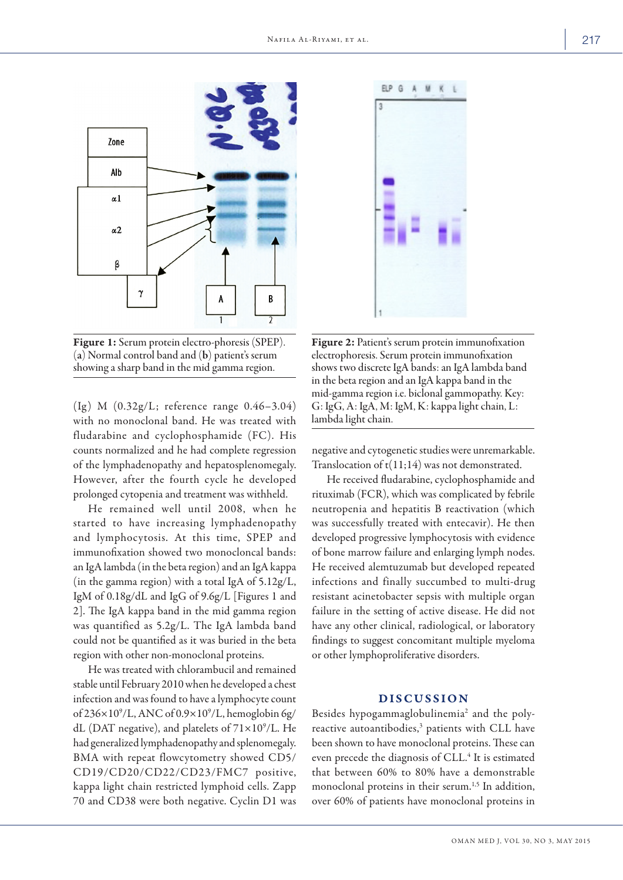

Figure 1: Serum protein electro-phoresis (SPEP). (a) Normal control band and (b) patient's serum showing a sharp band in the mid gamma region.

(Ig) M  $(0.32g/L;$  reference range  $0.46-3.04$ ) with no monoclonal band. He was treated with fludarabine and cyclophosphamide (FC). His counts normalized and he had complete regression of the lymphadenopathy and hepatosplenomegaly. However, after the fourth cycle he developed prolonged cytopenia and treatment was withheld.

He remained well until 2008, when he started to have increasing lymphadenopathy and lymphocytosis. At this time, SPEP and immunofixation showed two monocloncal bands: an IgA lambda (in the beta region) and an IgA kappa (in the gamma region) with a total IgA of 5.12g/L, IgM of 0.18g/dL and IgG of 9.6g/L [Figures 1 and 2]. The IgA kappa band in the mid gamma region was quantified as 5.2g/L. The IgA lambda band could not be quantified as it was buried in the beta region with other non-monoclonal proteins.

He was treated with chlorambucil and remained stable until February 2010 when he developed a chest infection and was found to have a lymphocyte count of 236×109 /L, ANC of 0.9×109 /L, hemoglobin 6g/ dL (DAT negative), and platelets of  $71\times10^9$ /L. He had generalized lymphadenopathy and splenomegaly. BMA with repeat flowcytometry showed CD5/ CD19/CD20/CD22/CD23/FMC7 positive, kappa light chain restricted lymphoid cells. Zapp 70 and CD38 were both negative. Cyclin D1 was



Figure 2: Patient's serum protein immunofixation electrophoresis. Serum protein immunofixation shows two discrete IgA bands: an IgA lambda band in the beta region and an IgA kappa band in the mid-gamma region i.e. biclonal gammopathy. Key: G: IgG, A: IgA, M: IgM, K: kappa light chain, L: lambda light chain.

negative and cytogenetic studies were unremarkable. Translocation of  $t(11;14)$  was not demonstrated.

He received fludarabine, cyclophosphamide and rituximab (FCR), which was complicated by febrile neutropenia and hepatitis B reactivation (which was successfully treated with entecavir). He then developed progressive lymphocytosis with evidence of bone marrow failure and enlarging lymph nodes. He received alemtuzumab but developed repeated infections and finally succumbed to multi-drug resistant acinetobacter sepsis with multiple organ failure in the setting of active disease. He did not have any other clinical, radiological, or laboratory findings to suggest concomitant multiple myeloma or other lymphoproliferative disorders.

## DISCUSSION

Besides hypogammaglobulinemia<sup>2</sup> and the polyreactive autoantibodies,<sup>3</sup> patients with CLL have been shown to have monoclonal proteins. These can even precede the diagnosis of CLL.<sup>4</sup> It is estimated that between 60% to 80% have a demonstrable monoclonal proteins in their serum.<sup>1,5</sup> In addition, over 60% of patients have monoclonal proteins in